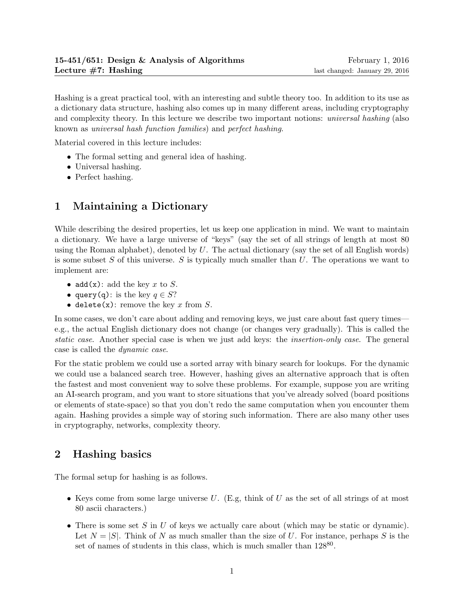Hashing is a great practical tool, with an interesting and subtle theory too. In addition to its use as a dictionary data structure, hashing also comes up in many different areas, including cryptography and complexity theory. In this lecture we describe two important notions: universal hashing (also known as universal hash function families) and perfect hashing.

Material covered in this lecture includes:

- The formal setting and general idea of hashing.
- Universal hashing.
- Perfect hashing.

# 1 Maintaining a Dictionary

While describing the desired properties, let us keep one application in mind. We want to maintain a dictionary. We have a large universe of "keys" (say the set of all strings of length at most 80 using the Roman alphabet), denoted by  $U$ . The actual dictionary (say the set of all English words) is some subset S of this universe. S is typically much smaller than  $U$ . The operations we want to implement are:

- add(x): add the key x to S.
- query(q): is the key  $q \in S?$
- delete $(x)$ : remove the key x from S.

In some cases, we don't care about adding and removing keys, we just care about fast query times e.g., the actual English dictionary does not change (or changes very gradually). This is called the static case. Another special case is when we just add keys: the insertion-only case. The general case is called the dynamic case.

For the static problem we could use a sorted array with binary search for lookups. For the dynamic we could use a balanced search tree. However, hashing gives an alternative approach that is often the fastest and most convenient way to solve these problems. For example, suppose you are writing an AI-search program, and you want to store situations that you've already solved (board positions or elements of state-space) so that you don't redo the same computation when you encounter them again. Hashing provides a simple way of storing such information. There are also many other uses in cryptography, networks, complexity theory.

## 2 Hashing basics

The formal setup for hashing is as follows.

- Keys come from some large universe U. (E.g, think of U as the set of all strings of at most 80 ascii characters.)
- There is some set S in U of keys we actually care about (which may be static or dynamic). Let  $N = |S|$ . Think of N as much smaller than the size of U. For instance, perhaps S is the set of names of students in this class, which is much smaller than  $128^{80}$ .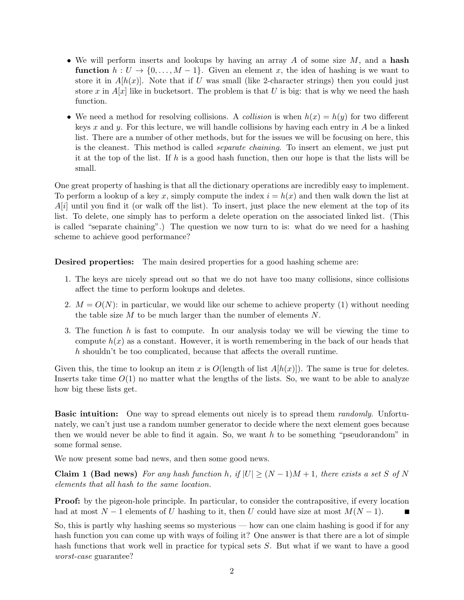- We will perform inserts and lookups by having an array  $A$  of some size  $M$ , and a hash **function**  $h: U \to \{0, \ldots, M-1\}$ . Given an element x, the idea of hashing is we want to store it in  $A[h(x)]$ . Note that if U was small (like 2-character strings) then you could just store x in  $A[x]$  like in bucketsort. The problem is that U is big: that is why we need the hash function.
- We need a method for resolving collisions. A *collision* is when  $h(x) = h(y)$  for two different keys x and y. For this lecture, we will handle collisions by having each entry in  $A$  be a linked list. There are a number of other methods, but for the issues we will be focusing on here, this is the cleanest. This method is called separate chaining. To insert an element, we just put it at the top of the list. If  $h$  is a good hash function, then our hope is that the lists will be small.

One great property of hashing is that all the dictionary operations are incredibly easy to implement. To perform a lookup of a key x, simply compute the index  $i = h(x)$  and then walk down the list at  $A[i]$  until you find it (or walk off the list). To insert, just place the new element at the top of its list. To delete, one simply has to perform a delete operation on the associated linked list. (This is called "separate chaining".) The question we now turn to is: what do we need for a hashing scheme to achieve good performance?

Desired properties: The main desired properties for a good hashing scheme are:

- 1. The keys are nicely spread out so that we do not have too many collisions, since collisions affect the time to perform lookups and deletes.
- 2.  $M = O(N)$ : in particular, we would like our scheme to achieve property (1) without needing the table size  $M$  to be much larger than the number of elements  $N$ .
- 3. The function h is fast to compute. In our analysis today we will be viewing the time to compute  $h(x)$  as a constant. However, it is worth remembering in the back of our heads that h shouldn't be too complicated, because that affects the overall runtime.

Given this, the time to lookup an item x is  $O(\text{length of list } A[h(x)])$ . The same is true for deletes. Inserts take time  $O(1)$  no matter what the lengths of the lists. So, we want to be able to analyze how big these lists get.

**Basic intuition:** One way to spread elements out nicely is to spread them *randomly*. Unfortunately, we can't just use a random number generator to decide where the next element goes because then we would never be able to find it again. So, we want  $h$  to be something "pseudorandom" in some formal sense.

We now present some bad news, and then some good news.

Claim 1 (Bad news) For any hash function h, if  $|U| \geq (N-1)M + 1$ , there exists a set S of N elements that all hash to the same location.

**Proof:** by the pigeon-hole principle. In particular, to consider the contrapositive, if every location had at most  $N-1$  elements of U hashing to it, then U could have size at most  $M(N-1)$ .

So, this is partly why hashing seems so mysterious — how can one claim hashing is good if for any hash function you can come up with ways of foiling it? One answer is that there are a lot of simple hash functions that work well in practice for typical sets S. But what if we want to have a good worst-case guarantee?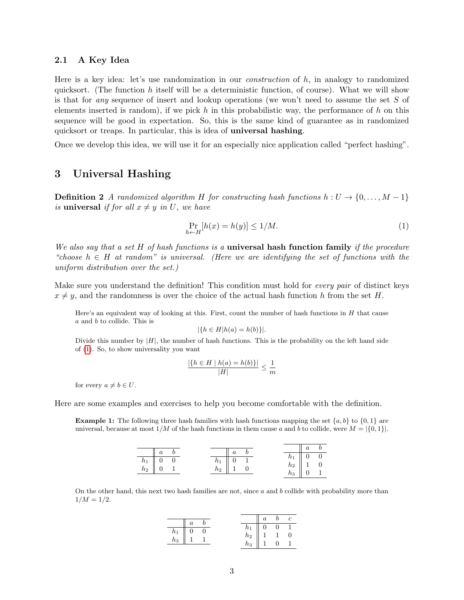### 2.1 A Key Idea

Here is a key idea: let's use randomization in our construction of h, in analogy to randomized quicksort. (The function h itself will be a deterministic function, of course). What we will show is that for *any* sequence of insert and lookup operations (we won't need to assume the set  $S$  of elements inserted is random), if we pick h in this probabilistic way, the performance of h on this sequence will be good in expectation. So, this is the same kind of guarantee as in randomized quicksort or treaps. In particular, this is idea of universal hashing.

Once we develop this idea, we will use it for an especially nice application called "perfect hashing".

### 3 Universal Hashing

**Definition 2** A randomized algorithm H for constructing hash functions  $h: U \rightarrow \{0, \ldots, M-1\}$ is universal if for all  $x \neq y$  in U, we have

<span id="page-2-0"></span>
$$
\Pr_{h \leftarrow H} [h(x) = h(y)] \le 1/M. \tag{1}
$$

We also say that a set H of hash functions is a **universal hash function family** if the procedure "choose  $h \in H$  at random" is universal. (Here we are identifying the set of functions with the uniform distribution over the set.)

Make sure you understand the definition! This condition must hold for *every pair* of distinct keys  $x \neq y$ , and the randomness is over the choice of the actual hash function h from the set H.

Here's an equivalent way of looking at this. First, count the number of hash functions in  $H$  that cause a and b to collide. This is

$$
|\{h \in H | h(a) = h(b)\}|.
$$

Divide this number by  $|H|$ , the number of hash functions. This is the probability on the left hand side of [\(1\)](#page-2-0). So, to show universality you want

$$
\frac{|\{h \in H \mid h(a) = h(b)\}|}{|H|} \le \frac{1}{m}
$$

for every  $a \neq b \in U$ .

Here are some examples and exercises to help you become comfortable with the definition.

**Example 1:** The following three hash families with hash functions mapping the set  $\{a, b\}$  to  $\{0, 1\}$  are universal, because at most  $1/M$  of the hash functions in them cause a and b to collide, were  $M = \{0, 1\}$ .

| $\alpha$          | $\boldsymbol{a}$ |                              |
|-------------------|------------------|------------------------------|
|                   |                  | $0 \quad 0$                  |
| $\frac{h_1}{h_1}$ | $\cup$<br>$n_1$  | $\parallel$ 1 0<br>$\iota_2$ |
| $h_2$             | $h_2$            | U I                          |

On the other hand, this next two hash families are not, since  $a$  and  $b$  collide with probability more than  $1/M = 1/2$ .

|                   |   |  | $n_1$ | U | $\boldsymbol{0}$ |  |
|-------------------|---|--|-------|---|------------------|--|
| $\frac{h_1}{h_3}$ | v |  | $h_2$ |   |                  |  |
|                   |   |  | $h_3$ |   |                  |  |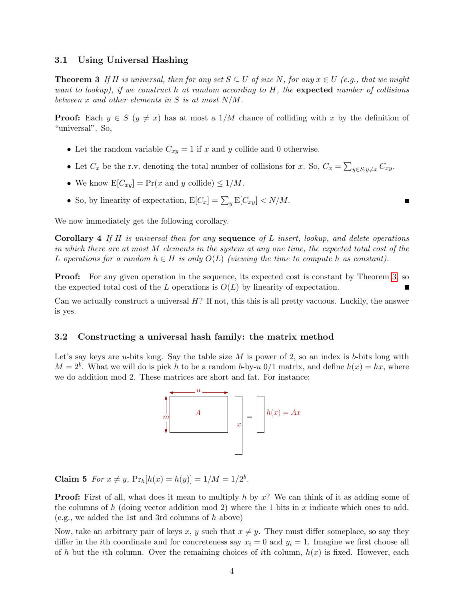### 3.1 Using Universal Hashing

<span id="page-3-0"></span>**Theorem 3** If H is universal, then for any set  $S \subseteq U$  of size N, for any  $x \in U$  (e.g., that we might want to lookup), if we construct h at random according to  $H$ , the expected number of collisions between  $x$  and other elements in  $S$  is at most  $N/M$ .

**Proof:** Each  $y \in S$  ( $y \neq x$ ) has at most a 1/M chance of colliding with x by the definition of "universal". So,

- Let the random variable  $C_{xy} = 1$  if x and y collide and 0 otherwise.
- Let  $C_x$  be the r.v. denoting the total number of collisions for x. So,  $C_x = \sum_{y \in S, y \neq x} C_{xy}$ .

 $\blacksquare$ 

- We know  $E[C_{xy}] = Pr(x \text{ and } y \text{ collide}) \leq 1/M$ .
- So, by linearity of expectation,  $E[C_x] = \sum_y E[C_{xy}] < N/M$ .

We now immediately get the following corollary.

**Corollary 4** If H is universal then for any **sequence** of L insert, lookup, and delete operations in which there are at most M elements in the system at any one time, the expected total cost of the L operations for a random  $h \in H$  is only  $O(L)$  (viewing the time to compute h as constant).

**Proof:** For any given operation in the sequence, its expected cost is constant by Theorem [3,](#page-3-0) so the expected total cost of the L operations is  $O(L)$  by linearity of expectation.

Can we actually construct a universal H? If not, this this is all pretty vacuous. Luckily, the answer is yes.

#### 3.2 Constructing a universal hash family: the matrix method

Let's say keys are u-bits long. Say the table size  $M$  is power of 2, so an index is b-bits long with  $M = 2<sup>b</sup>$ . What we will do is pick h to be a random b-by-u 0/1 matrix, and define  $h(x) = hx$ , where we do addition mod 2. These matrices are short and fat. For instance:



Claim 5 For  $x \neq y$ ,  $Pr_h[h(x) = h(y)] = 1/M = 1/2^b$ .

**Proof:** First of all, what does it mean to multiply h by x? We can think of it as adding some of the columns of h (doing vector addition mod 2) where the 1 bits in x indicate which ones to add. (e.g., we added the 1st and 3rd columns of h above)

Now, take an arbitrary pair of keys x, y such that  $x \neq y$ . They must differ someplace, so say they differ in the *i*th coordinate and for concreteness say  $x_i = 0$  and  $y_i = 1$ . Imagine we first choose all of h but the ith column. Over the remaining choices of ith column,  $h(x)$  is fixed. However, each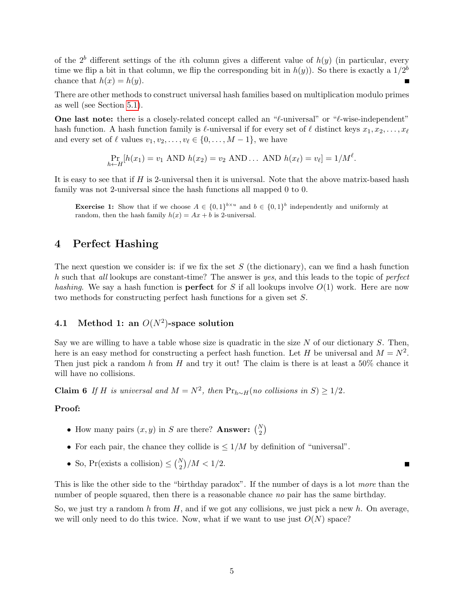of the  $2<sup>b</sup>$  different settings of the *i*th column gives a different value of  $h(y)$  (in particular, every time we flip a bit in that column, we flip the corresponding bit in  $h(y)$ ). So there is exactly a  $1/2^b$ chance that  $h(x) = h(y)$ .

There are other methods to construct universal hash families based on multiplication modulo primes as well (see Section [5.1\)](#page-6-0).

**One last note:** there is a closely-related concept called an " $\ell$ -universal" or " $\ell$ -wise-independent" hash function. A hash function family is  $\ell$ -universal if for every set of  $\ell$  distinct keys  $x_1, x_2, \ldots, x_\ell$ and every set of  $\ell$  values  $v_1, v_2, \ldots, v_\ell \in \{0, \ldots, M - 1\}$ , we have

$$
\Pr_{h \leftarrow H}[h(x_1) = v_1 \text{ AND } h(x_2) = v_2 \text{ AND } \dots \text{ AND } h(x_\ell) = v_\ell] = 1/M^{\ell}.
$$

It is easy to see that if H is 2-universal then it is universal. Note that the above matrix-based hash family was not 2-universal since the hash functions all mapped 0 to 0.

**Exercise 1:** Show that if we choose  $A \in \{0,1\}^{b \times u}$  and  $b \in \{0,1\}^b$  independently and uniformly at random, then the hash family  $h(x) = Ax + b$  is 2-universal.

### 4 Perfect Hashing

The next question we consider is: if we fix the set  $S$  (the dictionary), can we find a hash function h such that all lookups are constant-time? The answer is yes, and this leads to the topic of perfect hashing. We say a hash function is **perfect** for S if all lookups involve  $O(1)$  work. Here are now two methods for constructing perfect hash functions for a given set S.

## 4.1 Method 1: an  $O(N^2)$ -space solution

Say we are willing to have a table whose size is quadratic in the size  $N$  of our dictionary  $S$ . Then, here is an easy method for constructing a perfect hash function. Let H be universal and  $M = N^2$ . Then just pick a random h from H and try it out! The claim is there is at least a  $50\%$  chance it will have no collisions.

Claim 6 If H is universal and  $M = N^2$ , then  $Pr_{h \sim H}(no~ collisions~in~S) \ge 1/2$ .

#### Proof:

- How many pairs  $(x, y)$  in S are there? Answer:  $\binom{N}{2}$
- For each pair, the chance they collide is  $\leq 1/M$  by definition of "universal".
- So, Pr(exists a collision)  $\leq \binom{N}{2}/M < 1/2$ .

This is like the other side to the "birthday paradox". If the number of days is a lot more than the number of people squared, then there is a reasonable chance no pair has the same birthday.

П

So, we just try a random h from  $H$ , and if we got any collisions, we just pick a new h. On average, we will only need to do this twice. Now, what if we want to use just  $O(N)$  space?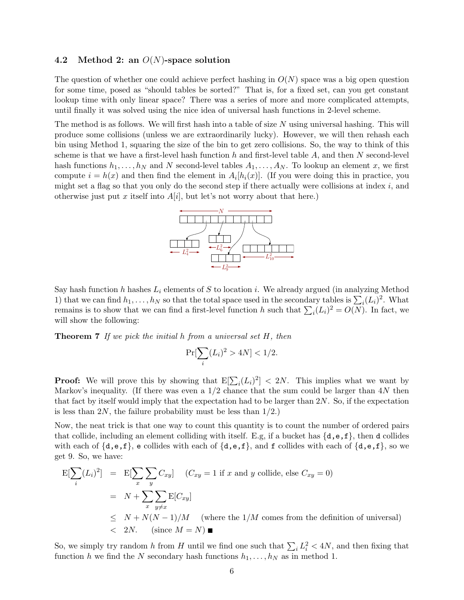### 4.2 Method 2: an  $O(N)$ -space solution

The question of whether one could achieve perfect hashing in  $O(N)$  space was a big open question for some time, posed as "should tables be sorted?" That is, for a fixed set, can you get constant lookup time with only linear space? There was a series of more and more complicated attempts, until finally it was solved using the nice idea of universal hash functions in 2-level scheme.

The method is as follows. We will first hash into a table of size N using universal hashing. This will produce some collisions (unless we are extraordinarily lucky). However, we will then rehash each bin using Method 1, squaring the size of the bin to get zero collisions. So, the way to think of this scheme is that we have a first-level hash function h and first-level table  $A$ , and then  $N$  second-level hash functions  $h_1, \ldots, h_N$  and N second-level tables  $A_1, \ldots, A_N$ . To lookup an element x, we first compute  $i = h(x)$  and then find the element in  $A_i[h_i(x)]$ . (If you were doing this in practice, you might set a flag so that you only do the second step if there actually were collisions at index  $i$ , and otherwise just put x itself into  $A[i]$ , but let's not worry about that here.)



Say hash function h hashes  $L_i$  elements of S to location i. We already argued (in analyzing Method 1) that we can find  $h_1, \ldots, h_N$  so that the total space used in the secondary tables is  $\sum_i (L_i)^2$ . What remains is to show that we can find a first-level function h such that  $\sum_i (L_i)^2 = O(N)$ . In fact, we will show the following:

**Theorem 7** If we pick the initial h from a universal set  $H$ , then

$$
\Pr[\sum_{i} (L_i)^2 > 4N] < 1/2.
$$

**Proof:** We will prove this by showing that  $E[\sum_i(L_i)^2] < 2N$ . This implies what we want by Markov's inequality. (If there was even a  $1/2$  chance that the sum could be larger than  $4N$  then that fact by itself would imply that the expectation had to be larger than 2N. So, if the expectation is less than 2N, the failure probability must be less than  $1/2$ .

Now, the neat trick is that one way to count this quantity is to count the number of ordered pairs that collide, including an element colliding with itself. E.g, if a bucket has  $\{d, e, f\}$ , then d collides with each of  $\{d, e, f\}$ , e collides with each of  $\{d, e, f\}$ , and f collides with each of  $\{d, e, f\}$ , so we get 9. So, we have:

$$
E[\sum_{i} (L_{i})^{2}] = E[\sum_{x} \sum_{y} C_{xy}] \quad (C_{xy} = 1 \text{ if } x \text{ and } y \text{ collide, else } C_{xy} = 0)
$$
  
=  $N + \sum_{x} \sum_{y \neq x} E[C_{xy}]$   
 $\leq N + N(N - 1)/M$  (where the 1/M comes from the definition of universal)  
 $< 2N.$  (since  $M = N$ )

So, we simply try random h from H until we find one such that  $\sum_i L_i^2 < 4N$ , and then fixing that function h we find the N secondary hash functions  $h_1, \ldots, h_N$  as in method 1.